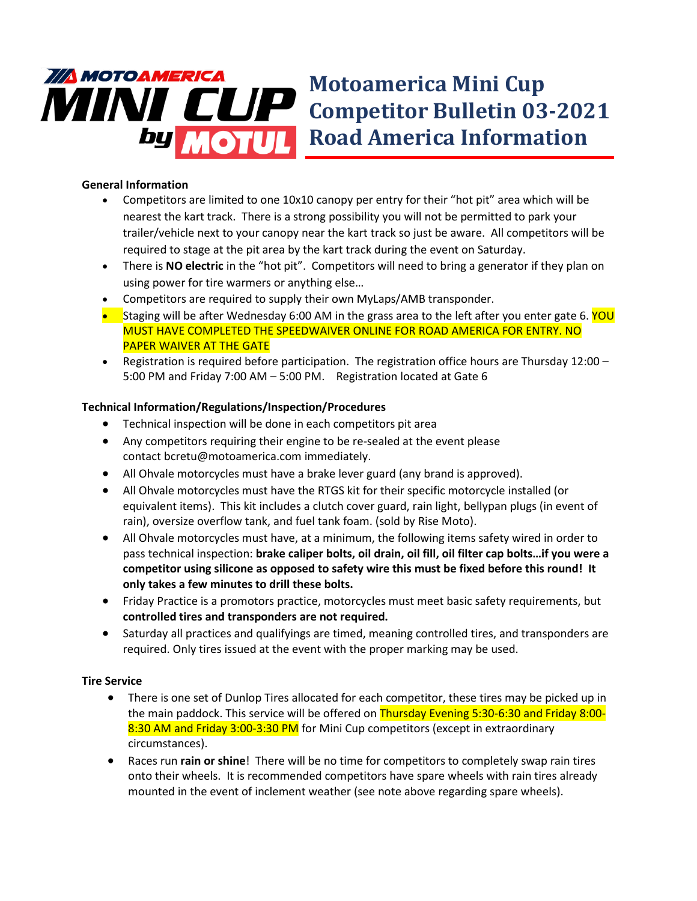

## **General Information**

- Competitors are limited to one 10x10 canopy per entry for their "hot pit" area which will be nearest the kart track. There is a strong possibility you will not be permitted to park your trailer/vehicle next to your canopy near the kart track so just be aware. All competitors will be required to stage at the pit area by the kart track during the event on Saturday.
- There is **NO electric** in the "hot pit". Competitors will need to bring a generator if they plan on using power for tire warmers or anything else…
- Competitors are required to supply their own MyLaps/AMB transponder.
- Staging will be after Wednesday 6:00 AM in the grass area to the left after you enter gate 6. YOU MUST HAVE COMPLETED THE SPEEDWAIVER ONLINE FOR ROAD AMERICA FOR ENTRY. NO PAPER WAIVER AT THE GATE
- Registration is required before participation. The registration office hours are Thursday 12:00 5:00 PM and Friday 7:00 AM – 5:00 PM. Registration located at Gate 6

## **Technical Information/Regulations/Inspection/Procedures**

- Technical inspection will be done in each competitors pit area
- Any competitors requiring their engine to be re-sealed at the event please contact bcretu@motoamerica.com immediately.
- All Ohvale motorcycles must have a brake lever guard (any brand is approved).
- All Ohvale motorcycles must have the RTGS kit for their specific motorcycle installed (or equivalent items). This kit includes a clutch cover guard, rain light, bellypan plugs (in event of rain), oversize overflow tank, and fuel tank foam. (sold by Rise Moto).
- All Ohvale motorcycles must have, at a minimum, the following items safety wired in order to pass technical inspection: **brake caliper bolts, oil drain, oil fill, oil filter cap bolts…if you were a competitor using silicone as opposed to safety wire this must be fixed before this round! It only takes a few minutes to drill these bolts.**
- Friday Practice is a promotors practice, motorcycles must meet basic safety requirements, but **controlled tires and transponders are not required.**
- Saturday all practices and qualifyings are timed, meaning controlled tires, and transponders are required. Only tires issued at the event with the proper marking may be used.

## **Tire Service**

- There is one set of Dunlop Tires allocated for each competitor, these tires may be picked up in the main paddock. This service will be offered on Thursday Evening 5:30-6:30 and Friday 8:00-8:30 AM and Friday 3:00-3:30 PM for Mini Cup competitors (except in extraordinary circumstances).
- Races run **rain or shine**! There will be no time for competitors to completely swap rain tires onto their wheels. It is recommended competitors have spare wheels with rain tires already mounted in the event of inclement weather (see note above regarding spare wheels).